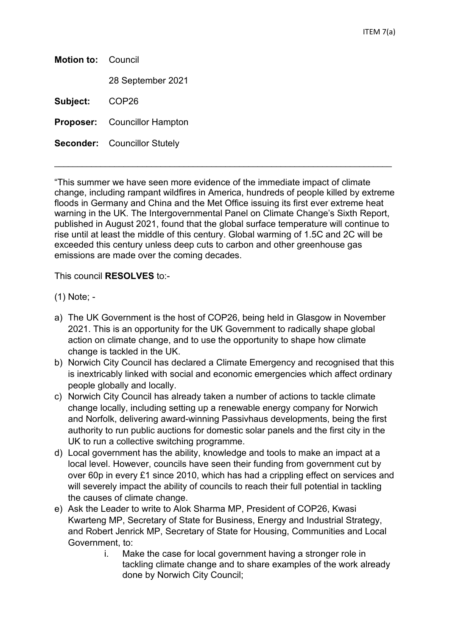**Motion to:** Council 28 September 2021 **Subject:** COP26 **Proposer:** Councillor Hampton **Seconder:** Councillor Stutely

"This summer we have seen more evidence of the immediate impact of climate change, including rampant wildfires in America, hundreds of people killed by extreme floods in Germany and China and the Met Office issuing its first ever extreme heat warning in the UK. The Intergovernmental Panel on Climate Change's Sixth Report, published in August 2021, found that the global surface temperature will continue to rise until at least the middle of this century. Global warming of 1.5C and 2C will be exceeded this century unless deep cuts to carbon and other greenhouse gas emissions are made over the coming decades.

 $\_$  , and the set of the set of the set of the set of the set of the set of the set of the set of the set of the set of the set of the set of the set of the set of the set of the set of the set of the set of the set of th

This council **RESOLVES** to:-

(1) Note; -

- a) The UK Government is the host of COP26, being held in Glasgow in November 2021. This is an opportunity for the UK Government to radically shape global action on climate change, and to use the opportunity to shape how climate change is tackled in the UK.
- b) Norwich City Council has declared a Climate Emergency and recognised that this is inextricably linked with social and economic emergencies which affect ordinary people globally and locally.
- c) Norwich City Council has already taken a number of actions to tackle climate change locally, including setting up a renewable energy company for Norwich and Norfolk, delivering award-winning Passivhaus developments, being the first authority to run public auctions for domestic solar panels and the first city in the UK to run a collective switching programme.
- d) Local government has the ability, knowledge and tools to make an impact at a local level. However, councils have seen their funding from government cut by over 60p in every £1 since 2010, which has had a crippling effect on services and will severely impact the ability of councils to reach their full potential in tackling the causes of climate change.
- e) Ask the Leader to write to Alok Sharma MP, President of COP26, Kwasi Kwarteng MP, Secretary of State for Business, Energy and Industrial Strategy, and Robert Jenrick MP, Secretary of State for Housing, Communities and Local Government, to:
	- i. Make the case for local government having a stronger role in tackling climate change and to share examples of the work already done by Norwich City Council;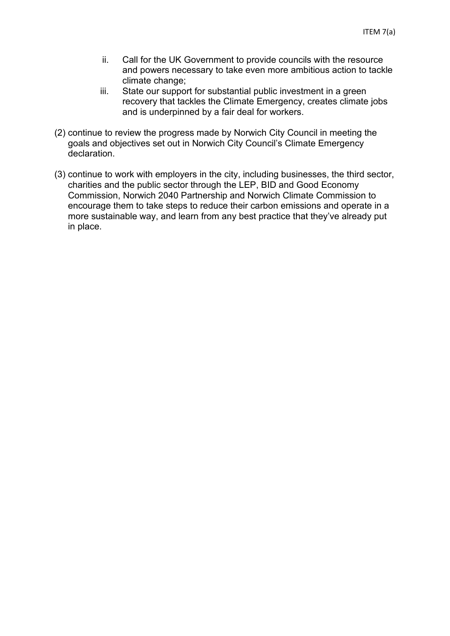- ii. Call for the UK Government to provide councils with the resource and powers necessary to take even more ambitious action to tackle climate change;
- iii. State our support for substantial public investment in a green recovery that tackles the Climate Emergency, creates climate jobs and is underpinned by a fair deal for workers.
- (2) continue to review the progress made by Norwich City Council in meeting the goals and objectives set out in Norwich City Council's Climate Emergency declaration.
- (3) continue to work with employers in the city, including businesses, the third sector, charities and the public sector through the LEP, BID and Good Economy Commission, Norwich 2040 Partnership and Norwich Climate Commission to encourage them to take steps to reduce their carbon emissions and operate in a more sustainable way, and learn from any best practice that they've already put in place.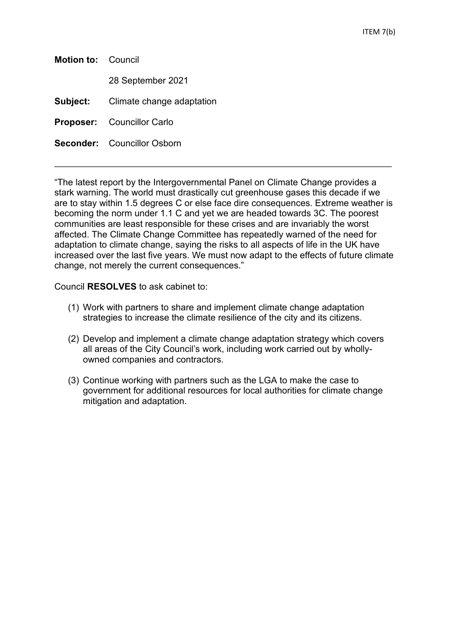| <b>Motion to: Council</b> |                                           |
|---------------------------|-------------------------------------------|
|                           | 28 September 2021                         |
|                           | <b>Subject:</b> Climate change adaptation |
|                           | <b>Proposer:</b> Councillor Carlo         |
|                           | <b>Seconder:</b> Councillor Osborn        |
|                           |                                           |

"The latest report by the Intergovernmental Panel on Climate Change provides a stark warning. The world must drastically cut greenhouse gases this decade if we are to stay within 1.5 degrees C or else face dire consequences. Extreme weather is becoming the norm under 1.1 C and yet we are headed towards 3C. The poorest communities are least responsible for these crises and are invariably the worst affected. The Climate Change Committee has repeatedly warned of the need for adaptation to climate change, saying the risks to all aspects of life in the UK have increased over the last five years. We must now adapt to the effects of future climate change, not merely the current consequences."

 $\_$  , and the set of the set of the set of the set of the set of the set of the set of the set of the set of the set of the set of the set of the set of the set of the set of the set of the set of the set of the set of th

Council **RESOLVES** to ask cabinet to:

- (1) Work with partners to share and implement climate change adaptation strategies to increase the climate resilience of the city and its citizens.
- (2) Develop and implement a climate change adaptation strategy which covers all areas of the City Council's work, including work carried out by whollyowned companies and contractors.
- (3) Continue working with partners such as the LGA to make the case to government for additional resources for local authorities for climate change mitigation and adaptation.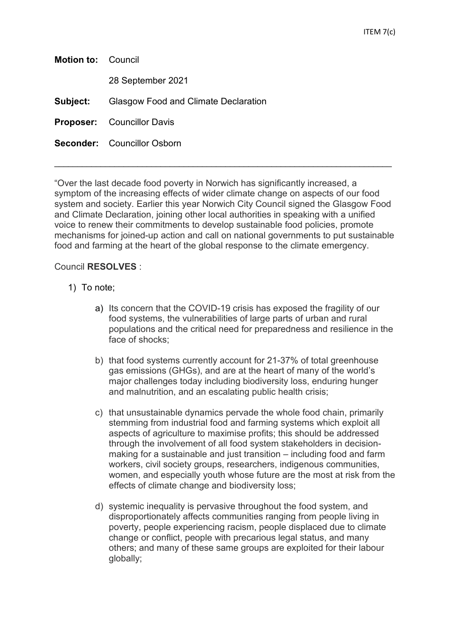| <b>Motion to: Council</b> |                                                      |
|---------------------------|------------------------------------------------------|
|                           | 28 September 2021                                    |
|                           | <b>Subject:</b> Glasgow Food and Climate Declaration |
|                           | <b>Proposer:</b> Councillor Davis                    |
|                           | <b>Seconder:</b> Councillor Osborn                   |
|                           |                                                      |

"Over the last decade food poverty in Norwich has significantly increased, a symptom of the increasing effects of wider climate change on aspects of our food system and society. Earlier this year Norwich City Council signed the Glasgow Food and Climate Declaration, joining other local authorities in speaking with a unified voice to renew their commitments to develop sustainable food policies, promote mechanisms for joined-up action and call on national governments to put sustainable food and farming at the heart of the global response to the climate emergency.

 $\_$  , and the set of the set of the set of the set of the set of the set of the set of the set of the set of the set of the set of the set of the set of the set of the set of the set of the set of the set of the set of th

## Council **RESOLVES** :

- 1) To note;
	- a) Its concern that the COVID-19 crisis has exposed the fragility of our food systems, the vulnerabilities of large parts of urban and rural populations and the critical need for preparedness and resilience in the face of shocks;
	- b) that food systems currently account for 21-37% of total greenhouse gas emissions (GHGs), and are at the heart of many of the world's major challenges today including biodiversity loss, enduring hunger and malnutrition, and an escalating public health crisis;
	- c) that unsustainable dynamics pervade the whole food chain, primarily stemming from industrial food and farming systems which exploit all aspects of agriculture to maximise profits; this should be addressed through the involvement of all food system stakeholders in decisionmaking for a sustainable and just transition – including food and farm workers, civil society groups, researchers, indigenous communities, women, and especially youth whose future are the most at risk from the effects of climate change and biodiversity loss;
	- d) systemic inequality is pervasive throughout the food system, and disproportionately affects communities ranging from people living in poverty, people experiencing racism, people displaced due to climate change or conflict, people with precarious legal status, and many others; and many of these same groups are exploited for their labour globally;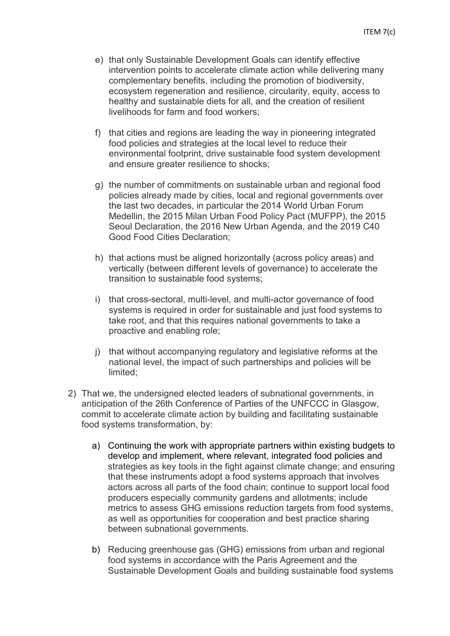- e) that only Sustainable Development Goals can identify effective intervention points to accelerate climate action while delivering many complementary benefits, including the promotion of biodiversity, ecosystem regeneration and resilience, circularity, equity, access to healthy and sustainable diets for all, and the creation of resilient livelihoods for farm and food workers;
- f) that cities and regions are leading the way in pioneering integrated food policies and strategies at the local level to reduce their environmental footprint, drive sustainable food system development and ensure greater resilience to shocks;
- g) the number of commitments on sustainable urban and regional food policies already made by cities, local and regional governments over the last two decades, in particular the 2014 World Urban Forum Medellin, the 2015 Milan Urban Food Policy Pact (MUFPP), the 2015 Seoul Declaration, the 2016 New Urban Agenda, and the 2019 C40 Good Food Cities Declaration;
- h) that actions must be aligned horizontally (across policy areas) and vertically (between different levels of governance) to accelerate the transition to sustainable food systems;
- i) that cross-sectoral, multi-level, and multi-actor governance of food systems is required in order for sustainable and just food systems to take root, and that this requires national governments to take a proactive and enabling role;
- j) that without accompanying regulatory and legislative reforms at the national level, the impact of such partnerships and policies will be limited;
- 2) That we, the undersigned elected leaders of subnational governments, in anticipation of the 26th Conference of Parties of the UNFCCC in Glasgow, commit to accelerate climate action by building and facilitating sustainable food systems transformation, by:
	- a) Continuing the work with appropriate partners within existing budgets to develop and implement, where relevant, integrated food policies and strategies as key tools in the fight against climate change; and ensuring that these instruments adopt a food systems approach that involves actors across all parts of the food chain; continue to support local food producers especially community gardens and allotments; include metrics to assess GHG emissions reduction targets from food systems, as well as opportunities for cooperation and best practice sharing between subnational governments.
	- b) Reducing greenhouse gas (GHG) emissions from urban and regional food systems in accordance with the Paris Agreement and the Sustainable Development Goals and building sustainable food systems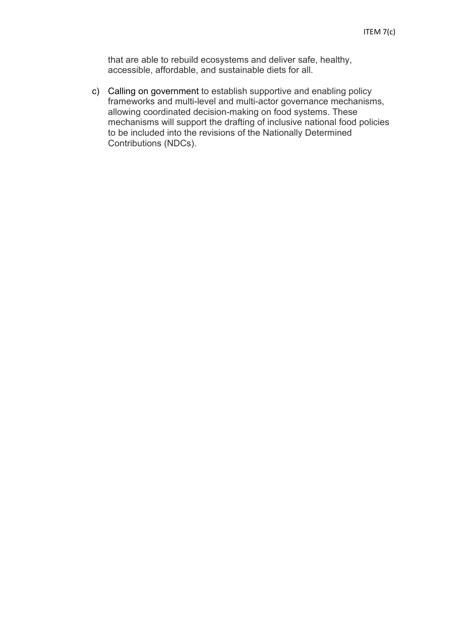that are able to rebuild ecosystems and deliver safe, healthy, accessible, affordable, and sustainable diets for all.

c) Calling on government to establish supportive and enabling policy frameworks and multi-level and multi-actor governance mechanisms, allowing coordinated decision-making on food systems. These mechanisms will support the drafting of inclusive national food policies to be included into the revisions of the Nationally Determined Contributions (NDCs).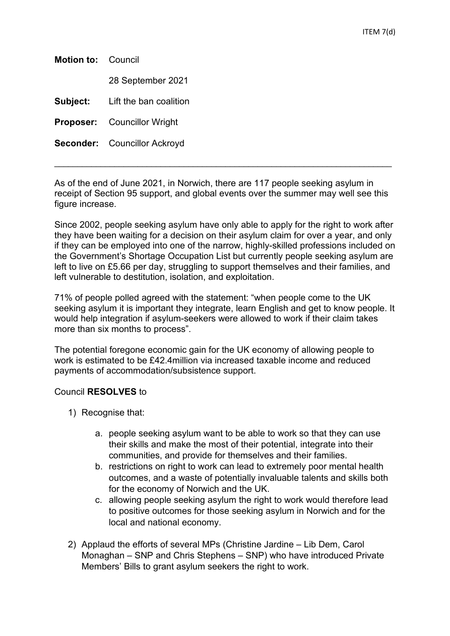| <b>Motion to: Council</b> |                                     |  |
|---------------------------|-------------------------------------|--|
|                           | 28 September 2021                   |  |
| Subject:                  | Lift the ban coalition              |  |
|                           | <b>Proposer:</b> Councillor Wright  |  |
|                           | <b>Seconder:</b> Councillor Ackroyd |  |
|                           |                                     |  |

As of the end of June 2021, in Norwich, there are 117 people seeking asylum in receipt of Section 95 support, and global events over the summer may well see this figure increase.

Since 2002, people seeking asylum have only able to apply for the right to work after they have been waiting for a decision on their asylum claim for over a year, and only if they can be employed into one of the narrow, highly-skilled professions included on the Government's Shortage Occupation List but currently people seeking asylum are left to live on £5.66 per day, struggling to support themselves and their families, and left vulnerable to destitution, isolation, and exploitation.

71% of people polled agreed with the statement: "when people come to the UK seeking asylum it is important they integrate, learn English and get to know people. It would help integration if asylum-seekers were allowed to work if their claim takes more than six months to process".

The potential foregone economic gain for the UK economy of allowing people to work is estimated to be £42.4million via increased taxable income and reduced payments of accommodation/subsistence support.

## Council **RESOLVES** to

- 1) Recognise that:
	- a. people seeking asylum want to be able to work so that they can use their skills and make the most of their potential, integrate into their communities, and provide for themselves and their families.
	- b. restrictions on right to work can lead to extremely poor mental health outcomes, and a waste of potentially invaluable talents and skills both for the economy of Norwich and the UK.
	- c. allowing people seeking asylum the right to work would therefore lead to positive outcomes for those seeking asylum in Norwich and for the local and national economy.
- 2) Applaud the efforts of several MPs (Christine Jardine Lib Dem, Carol Monaghan – SNP and Chris Stephens – SNP) who have introduced Private Members' Bills to grant asylum seekers the right to work.